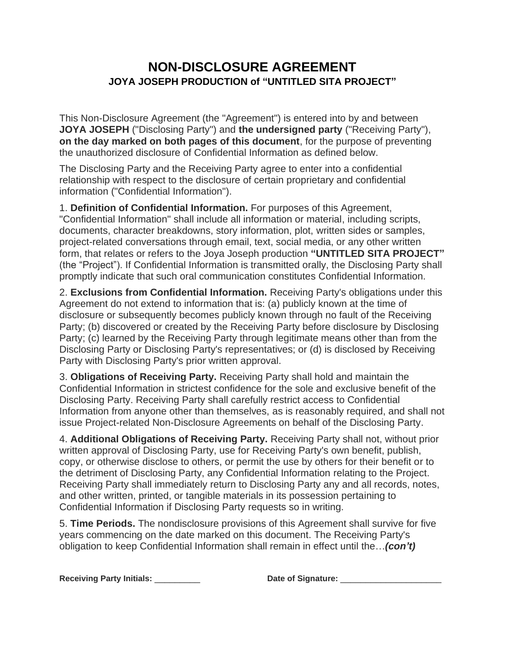## **NON-DISCLOSURE AGREEMENT JOYA JOSEPH PRODUCTION of "UNTITLED SITA PROJECT"**

This Non-Disclosure Agreement (the "Agreement") is entered into by and between **JOYA JOSEPH** ("Disclosing Party") and **the undersigned party** ("Receiving Party"), **on the day marked on both pages of this document**, for the purpose of preventing the unauthorized disclosure of Confidential Information as defined below.

The Disclosing Party and the Receiving Party agree to enter into a confidential relationship with respect to the disclosure of certain proprietary and confidential information ("Confidential Information").

1. **Definition of Confidential Information.** For purposes of this Agreement, "Confidential Information" shall include all information or material, including scripts, documents, character breakdowns, story information, plot, written sides or samples, project-related conversations through email, text, social media, or any other written form, that relates or refers to the Joya Joseph production **"UNTITLED SITA PROJECT"** (the "Project"). If Confidential Information is transmitted orally, the Disclosing Party shall promptly indicate that such oral communication constitutes Confidential Information.

2. **Exclusions from Confidential Information.** Receiving Party's obligations under this Agreement do not extend to information that is: (a) publicly known at the time of disclosure or subsequently becomes publicly known through no fault of the Receiving Party; (b) discovered or created by the Receiving Party before disclosure by Disclosing Party; (c) learned by the Receiving Party through legitimate means other than from the Disclosing Party or Disclosing Party's representatives; or (d) is disclosed by Receiving Party with Disclosing Party's prior written approval.

3. **Obligations of Receiving Party.** Receiving Party shall hold and maintain the Confidential Information in strictest confidence for the sole and exclusive benefit of the Disclosing Party. Receiving Party shall carefully restrict access to Confidential Information from anyone other than themselves, as is reasonably required, and shall not issue Project-related Non-Disclosure Agreements on behalf of the Disclosing Party.

4. **Additional Obligations of Receiving Party.** Receiving Party shall not, without prior written approval of Disclosing Party, use for Receiving Party's own benefit, publish, copy, or otherwise disclose to others, or permit the use by others for their benefit or to the detriment of Disclosing Party, any Confidential Information relating to the Project. Receiving Party shall immediately return to Disclosing Party any and all records, notes, and other written, printed, or tangible materials in its possession pertaining to Confidential Information if Disclosing Party requests so in writing.

5. **Time Periods.** The nondisclosure provisions of this Agreement shall survive for five years commencing on the date marked on this document. The Receiving Party's obligation to keep Confidential Information shall remain in effect until the…*(con't)*

**Receiving Party Initials:** \_\_\_\_\_\_\_\_\_ **Date of Signature:** \_\_\_\_\_\_\_\_\_\_\_\_\_\_\_\_\_\_\_\_